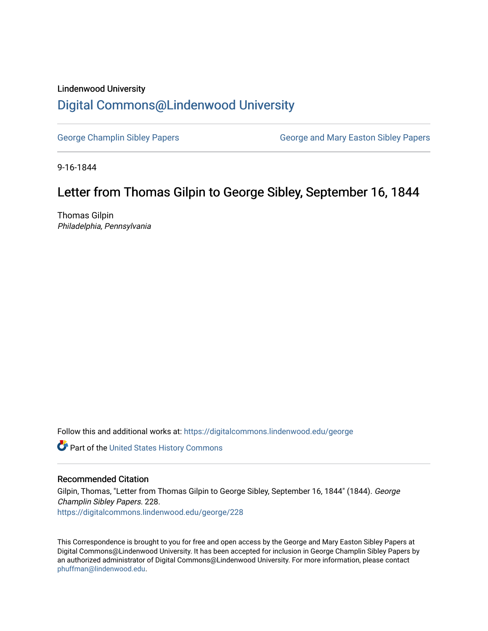## Lindenwood University [Digital Commons@Lindenwood University](https://digitalcommons.lindenwood.edu/)

[George Champlin Sibley Papers](https://digitalcommons.lindenwood.edu/george) George and Mary Easton Sibley Papers

9-16-1844

# Letter from Thomas Gilpin to George Sibley, September 16, 1844

Thomas Gilpin Philadelphia, Pennsylvania

Follow this and additional works at: [https://digitalcommons.lindenwood.edu/george](https://digitalcommons.lindenwood.edu/george?utm_source=digitalcommons.lindenwood.edu%2Fgeorge%2F228&utm_medium=PDF&utm_campaign=PDFCoverPages)

Part of the [United States History Commons](http://network.bepress.com/hgg/discipline/495?utm_source=digitalcommons.lindenwood.edu%2Fgeorge%2F228&utm_medium=PDF&utm_campaign=PDFCoverPages) 

## Recommended Citation

Gilpin, Thomas, "Letter from Thomas Gilpin to George Sibley, September 16, 1844" (1844). George Champlin Sibley Papers. 228. [https://digitalcommons.lindenwood.edu/george/228](https://digitalcommons.lindenwood.edu/george/228?utm_source=digitalcommons.lindenwood.edu%2Fgeorge%2F228&utm_medium=PDF&utm_campaign=PDFCoverPages)

This Correspondence is brought to you for free and open access by the George and Mary Easton Sibley Papers at Digital Commons@Lindenwood University. It has been accepted for inclusion in George Champlin Sibley Papers by an authorized administrator of Digital Commons@Lindenwood University. For more information, please contact [phuffman@lindenwood.edu](mailto:phuffman@lindenwood.edu).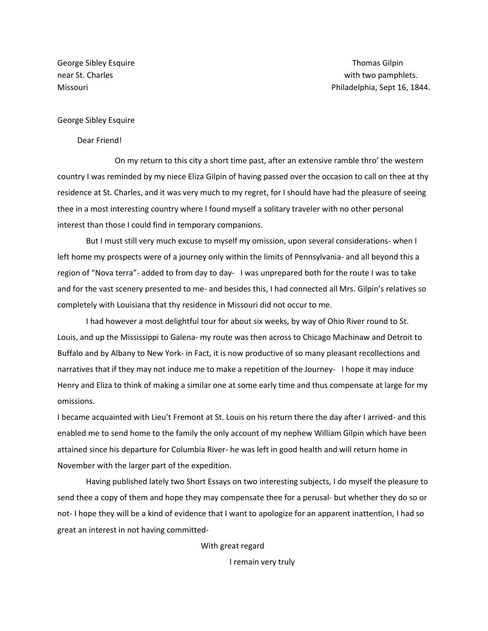George Sibley Esquire Thomas Gilpin and Control of the Thomas Gilpin School and Thomas Gilpin

### George Sibley Esquire

#### Dear Friend!

On my return to this city a short time past, after an extensive ramble thro' the western country I was reminded by my niece Eliza Gilpin of having passed over the occasion to call on thee at thy residence at St. Charles, and it was very much to my regret, for I should have had the pleasure of seeing thee in a most interesting country where I found myself a solitary traveler with no other personal interest than those I could find in temporary companions.

But I must still very much excuse to myself my omission, upon several considerations- when I left home my prospects were of a journey only within the limits of Pennsylvania- and all beyond this a region of "Nova terra"- added to from day to day- I was unprepared both for the route I was to take and for the vast scenery presented to me- and besides this, I had connected all Mrs. Gilpin's relatives so completely with Louisiana that thy residence in Missouri did not occur to me.

I had however a most delightful tour for about six weeks, by way of Ohio River round to St. Louis, and up the Mississippi to Galena- my route was then across to Chicago Machinaw and Detroit to Buffalo and by Albany to New York- in Fact, it is now productive of so many pleasant recollections and narratives that if they may not induce me to make a repetition of the Journey- I hope it may induce Henry and Eliza to think of making a similar one at some early time and thus compensate at large for my omissions.

I became acquainted with Lieu't Fremont at St. Louis on his return there the day after I arrived- and this enabled me to send home to the family the only account of my nephew William Gilpin which have been attained since his departure for Columbia River- he was left in good health and will return home in November with the larger part of the expedition.

Having published lately two Short Essays on two interesting subjects, I do myself the pleasure to send thee a copy of them and hope they may compensate thee for a perusal- but whether they do so or not- I hope they will be a kind of evidence that I want to apologize for an apparent inattention, I had so great an interest in not having committed-

With great regard

I remain very truly